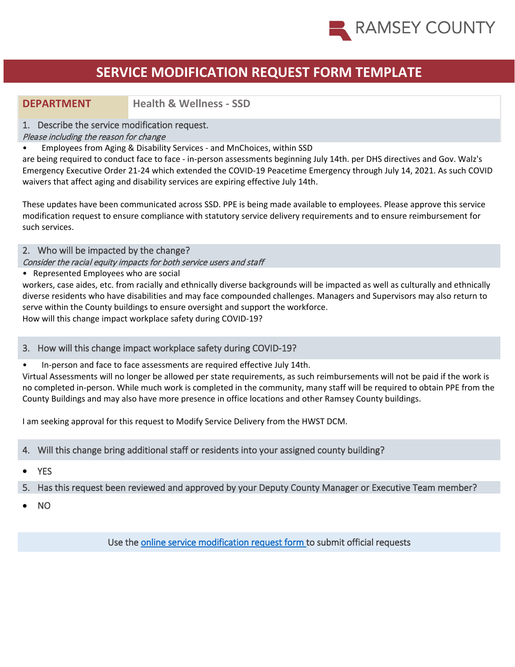

## **DEPARTMENT Health & Wellness - SSD**

#### 1. Describe the service modification request.

#### Please including the reason for change

• Employees from Aging & Disability Services - and MnChoices, within SSD

are being required to conduct face to face - in-person assessments beginning July 14th. per DHS directives and Gov. Walz's Emergency Executive Order 21-24 which extended the COVID-19 Peacetime Emergency through July 14, 2021. As such COVID waivers that affect aging and disability services are expiring effective July 14th.

These updates have been communicated across SSD. PPE is being made available to employees. Please approve this service modification request to ensure compliance with statutory service delivery requirements and to ensure reimbursement for such services.

### 2. Who will be impacted by the change?

#### Consider the racial equity impacts for both service users and staff

• Represented Employees who are social

workers, case aides, etc. from racially and ethnically diverse backgrounds will be impacted as well as culturally and ethnically diverse residents who have disabilities and may face compounded challenges. Managers and Supervisors may also return to serve within the County buildings to ensure oversight and support the workforce. How will this change impact workplace safety during COVID-19?

#### 3. How will this change impact workplace safety during COVID-19?

• In-person and face to face assessments are required effective July 14th.

Virtual Assessments will no longer be allowed per state requirements, as such reimbursements will not be paid if the work is no completed in-person. While much work is completed in the community, many staff will be required to obtain PPE from the County Buildings and may also have more presence in office locations and other Ramsey County buildings.

I am seeking approval for this request to Modify Service Delivery from the HWST DCM.

### 4. Will this change bring additional staff or residents into your assigned county building?

**YES** 

#### 5. Has this request been reviewed and approved by your Deputy County Manager or Executive Team member?

• NO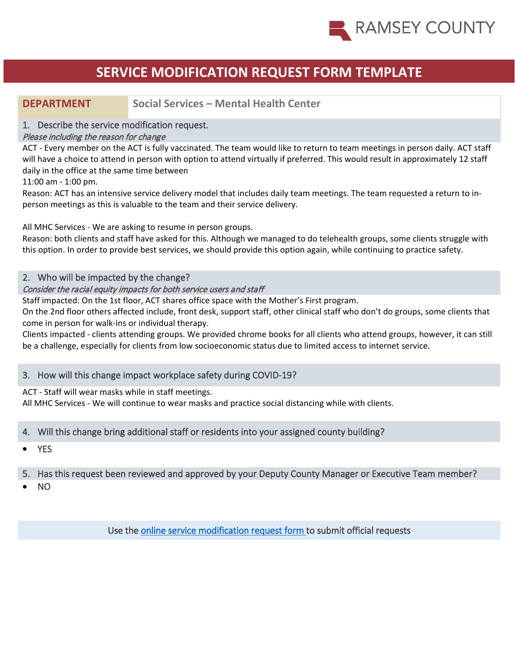

## **DEPARTMENT Social Services – Mental Health Center**

#### 1. Describe the service modification request.

#### Please including the reason for change

ACT - Every member on the ACT is fully vaccinated. The team would like to return to team meetings in person daily. ACT staff will have a choice to attend in person with option to attend virtually if preferred. This would result in approximately 12 staff daily in the office at the same time between

11:00 am - 1:00 pm.

Reason: ACT has an intensive service delivery model that includes daily team meetings. The team requested a return to inperson meetings as this is valuable to the team and their service delivery.

All MHC Services - We are asking to resume in person groups.

Reason: both clients and staff have asked for this. Although we managed to do telehealth groups, some clients struggle with this option. In order to provide best services, we should provide this option again, while continuing to practice safety.

#### 2. Who will be impacted by the change?

#### Consider the racial equity impacts for both service users and staff

Staff impacted: On the 1st floor, ACT shares office space with the Mother's First program.

On the 2nd floor others affected include, front desk, support staff, other clinical staff who don't do groups, some clients that come in person for walk-ins or individual therapy.

Clients impacted - clients attending groups. We provided chrome books for all clients who attend groups, however, it can still be a challenge, especially for clients from low socioeconomic status due to limited access to internet service.

#### 3. How will this change impact workplace safety during COVID-19?

ACT - Staff will wear masks while in staff meetings.

All MHC Services - We will continue to wear masks and practice social distancing while with clients.

#### 4. Will this change bring additional staff or residents into your assigned county building?

• YES

#### 5. Has this request been reviewed and approved by your Deputy County Manager or Executive Team member?

• NO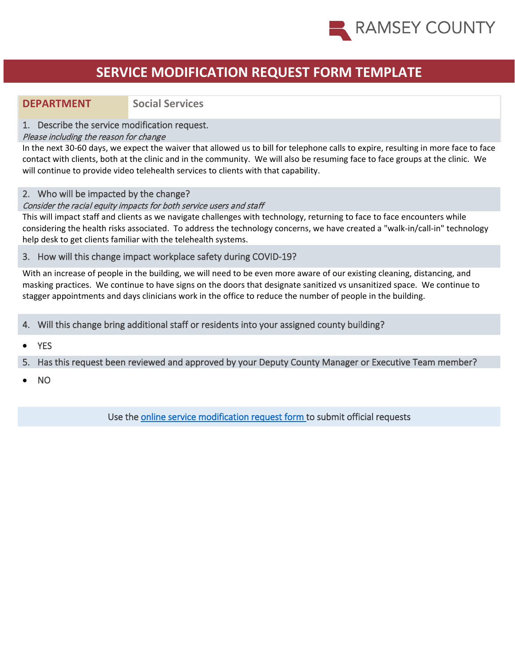

## **DEPARTMENT Social Services**

#### 1. Describe the service modification request.

#### Please including the reason for change

In the next 30-60 days, we expect the waiver that allowed us to bill for telephone calls to expire, resulting in more face to face contact with clients, both at the clinic and in the community. We will also be resuming face to face groups at the clinic. We will continue to provide video telehealth services to clients with that capability.

#### 2. Who will be impacted by the change?

#### Consider the racial equity impacts for both service users and staff

This will impact staff and clients as we navigate challenges with technology, returning to face to face encounters while considering the health risks associated. To address the technology concerns, we have created a "walk-in/call-in" technology help desk to get clients familiar with the telehealth systems.

#### 3. How will this change impact workplace safety during COVID-19?

With an increase of people in the building, we will need to be even more aware of our existing cleaning, distancing, and masking practices. We continue to have signs on the doors that designate sanitized vs unsanitized space. We continue to stagger appointments and days clinicians work in the office to reduce the number of people in the building.

4. Will this change bring additional staff or residents into your assigned county building?

**YES** 

#### 5. Has this request been reviewed and approved by your Deputy County Manager or Executive Team member?

• NO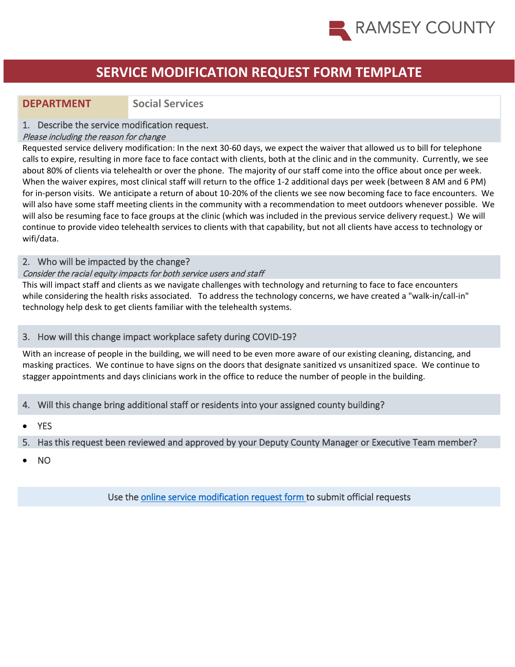

## **DEPARTMENT Social Services**

#### 1. Describe the service modification request.

#### Please including the reason for change

Requested service delivery modification: In the next 30-60 days, we expect the waiver that allowed us to bill for telephone calls to expire, resulting in more face to face contact with clients, both at the clinic and in the community. Currently, we see about 80% of clients via telehealth or over the phone. The majority of our staff come into the office about once per week. When the waiver expires, most clinical staff will return to the office 1-2 additional days per week (between 8 AM and 6 PM) for in-person visits. We anticipate a return of about 10-20% of the clients we see now becoming face to face encounters. We will also have some staff meeting clients in the community with a recommendation to meet outdoors whenever possible. We will also be resuming face to face groups at the clinic (which was included in the previous service delivery request.) We will continue to provide video telehealth services to clients with that capability, but not all clients have access to technology or wifi/data.

#### 2. Who will be impacted by the change?

#### Consider the racial equity impacts for both service users and staff

This will impact staff and clients as we navigate challenges with technology and returning to face to face encounters while considering the health risks associated. To address the technology concerns, we have created a "walk-in/call-in" technology help desk to get clients familiar with the telehealth systems.

#### 3. How will this change impact workplace safety during COVID-19?

With an increase of people in the building, we will need to be even more aware of our existing cleaning, distancing, and masking practices. We continue to have signs on the doors that designate sanitized vs unsanitized space. We continue to stagger appointments and days clinicians work in the office to reduce the number of people in the building.

- 4. Will this change bring additional staff or residents into your assigned county building?
- **YES**
- 5. Has this request been reviewed and approved by your Deputy County Manager or Executive Team member?
- NO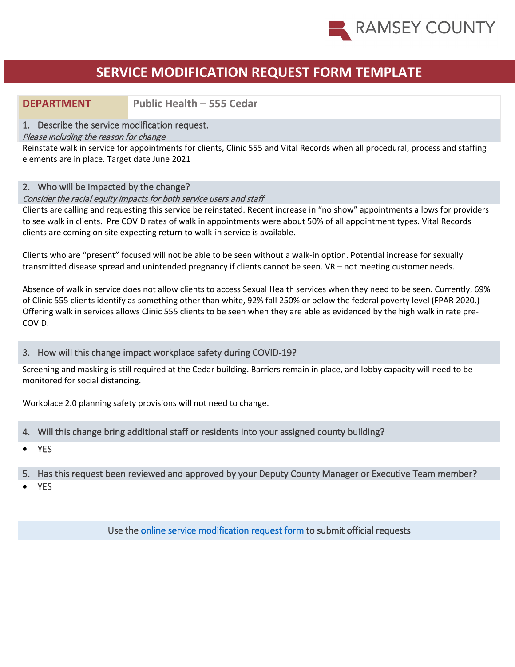

## **DEPARTMENT Public Health – 555 Cedar**

#### 1. Describe the service modification request.

#### Please including the reason for change

Reinstate walk in service for appointments for clients, Clinic 555 and Vital Records when all procedural, process and staffing elements are in place. Target date June 2021

#### 2. Who will be impacted by the change?

#### Consider the racial equity impacts for both service users and staff

Clients are calling and requesting this service be reinstated. Recent increase in "no show" appointments allows for providers to see walk in clients. Pre COVID rates of walk in appointments were about 50% of all appointment types. Vital Records clients are coming on site expecting return to walk-in service is available.

Clients who are "present" focused will not be able to be seen without a walk-in option. Potential increase for sexually transmitted disease spread and unintended pregnancy if clients cannot be seen. VR – not meeting customer needs.

Absence of walk in service does not allow clients to access Sexual Health services when they need to be seen. Currently, 69% of Clinic 555 clients identify as something other than white, 92% fall 250% or below the federal poverty level (FPAR 2020.) Offering walk in services allows Clinic 555 clients to be seen when they are able as evidenced by the high walk in rate pre-COVID.

#### 3. How will this change impact workplace safety during COVID-19?

Screening and masking is still required at the Cedar building. Barriers remain in place, and lobby capacity will need to be monitored for social distancing.

Workplace 2.0 planning safety provisions will not need to change.

- 4. Will this change bring additional staff or residents into your assigned county building?
- YES
- 5. Has this request been reviewed and approved by your Deputy County Manager or Executive Team member?
- **YES**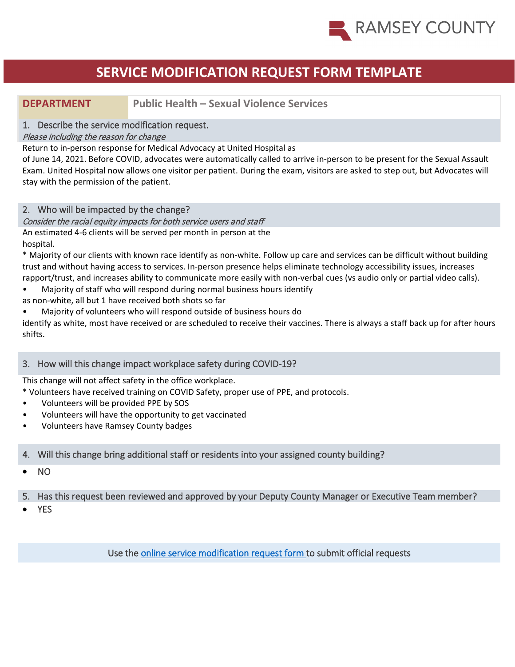

**DEPARTMENT Public Health – Sexual Violence Services** 

### 1. Describe the service modification request.

#### Please including the reason for change

Return to in-person response for Medical Advocacy at United Hospital as

of June 14, 2021. Before COVID, advocates were automatically called to arrive in-person to be present for the Sexual Assault Exam. United Hospital now allows one visitor per patient. During the exam, visitors are asked to step out, but Advocates will stay with the permission of the patient.

### 2. Who will be impacted by the change?

#### Consider the racial equity impacts for both service users and staff

An estimated 4-6 clients will be served per month in person at the hospital.

\* Majority of our clients with known race identify as non-white. Follow up care and services can be difficult without building trust and without having access to services. In-person presence helps eliminate technology accessibility issues, increases rapport/trust, and increases ability to communicate more easily with non-verbal cues (vs audio only or partial video calls).

- Majority of staff who will respond during normal business hours identify
- as non-white, all but 1 have received both shots so far
- Majority of volunteers who will respond outside of business hours do

identify as white, most have received or are scheduled to receive their vaccines. There is always a staff back up for after hours shifts.

#### 3. How will this change impact workplace safety during COVID-19?

This change will not affect safety in the office workplace.

\* Volunteers have received training on COVID Safety, proper use of PPE, and protocols.

- Volunteers will be provided PPE by SOS
- Volunteers will have the opportunity to get vaccinated
- Volunteers have Ramsey County badges

### 4. Will this change bring additional staff or residents into your assigned county building?

- NO
- 5. Has this request been reviewed and approved by your Deputy County Manager or Executive Team member?
- **YES**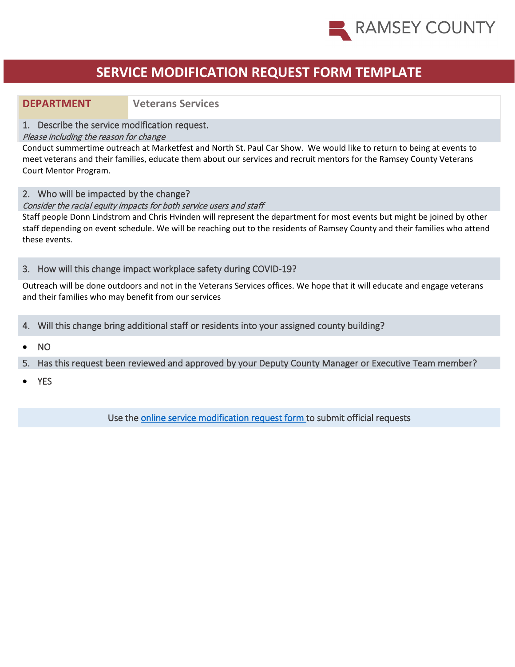

### **DEPARTMENT Veterans Services**

#### 1. Describe the service modification request.

#### Please including the reason for change

Conduct summertime outreach at Marketfest and North St. Paul Car Show. We would like to return to being at events to meet veterans and their families, educate them about our services and recruit mentors for the Ramsey County Veterans Court Mentor Program.

2. Who will be impacted by the change?

#### Consider the racial equity impacts for both service users and staff

Staff people Donn Lindstrom and Chris Hvinden will represent the department for most events but might be joined by other staff depending on event schedule. We will be reaching out to the residents of Ramsey County and their families who attend these events.

#### 3. How will this change impact workplace safety during COVID-19?

Outreach will be done outdoors and not in the Veterans Services offices. We hope that it will educate and engage veterans and their families who may benefit from our services

- 4. Will this change bring additional staff or residents into your assigned county building?
- NO
- 5. Has this request been reviewed and approved by your Deputy County Manager or Executive Team member?
- YES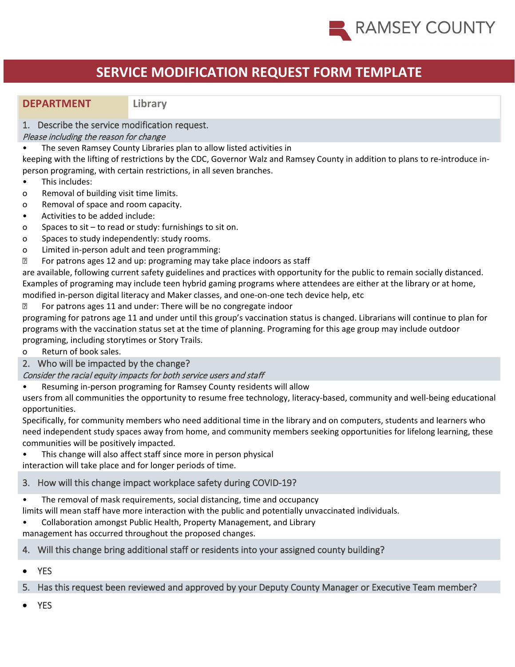

### **DEPARTMENT Library**

### 1. Describe the service modification request.

#### Please including the reason for change

• The seven Ramsey County Libraries plan to allow listed activities in

keeping with the lifting of restrictions by the CDC, Governor Walz and Ramsey County in addition to plans to re-introduce inperson programing, with certain restrictions, in all seven branches.

- This includes:
- o Removal of building visit time limits.
- o Removal of space and room capacity.
- Activities to be added include:
- o Spaces to sit to read or study: furnishings to sit on.
- o Spaces to study independently: study rooms.
- o Limited in-person adult and teen programming:
- **B** For patrons ages 12 and up: programing may take place indoors as staff

are available, following current safety guidelines and practices with opportunity for the public to remain socially distanced. Examples of programing may include teen hybrid gaming programs where attendees are either at the library or at home, modified in-person digital literacy and Maker classes, and one-on-one tech device help, etc

**EXECUTE:** For patrons ages 11 and under: There will be no congregate indoor

programing for patrons age 11 and under until this group's vaccination status is changed. Librarians will continue to plan for programs with the vaccination status set at the time of planning. Programing for this age group may include outdoor programing, including storytimes or Story Trails.

o Return of book sales.

2. Who will be impacted by the change?

Consider the racial equity impacts for both service users and staff

• Resuming in-person programing for Ramsey County residents will allow

users from all communities the opportunity to resume free technology, literacy-based, community and well-being educational opportunities.

Specifically, for community members who need additional time in the library and on computers, students and learners who need independent study spaces away from home, and community members seeking opportunities for lifelong learning, these communities will be positively impacted.

• This change will also affect staff since more in person physical

interaction will take place and for longer periods of time.

## 3. How will this change impact workplace safety during COVID-19?

• The removal of mask requirements, social distancing, time and occupancy

limits will mean staff have more interaction with the public and potentially unvaccinated individuals.

• Collaboration amongst Public Health, Property Management, and Library

management has occurred throughout the proposed changes.

## 4. Will this change bring additional staff or residents into your assigned county building?

• YES

5. Has this request been reviewed and approved by your Deputy County Manager or Executive Team member?

**YES**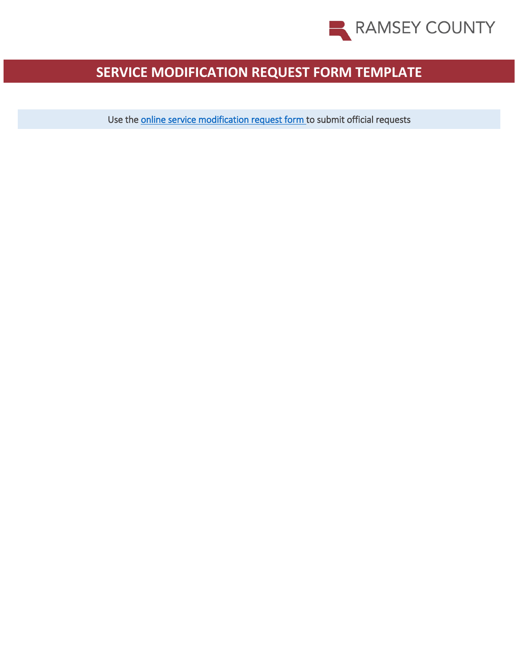